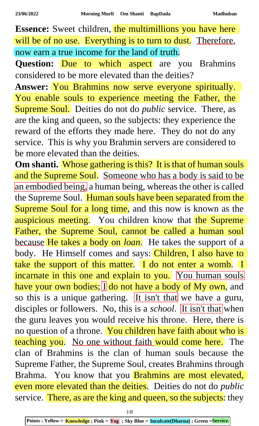**Essence:** Sweet children, the multimillions you have here will be of no use. Everything is to turn to dust. Therefore, now earn a true income for the land of truth.

**Question:** Due to which aspect are you Brahmins considered to be more elevated than the deities?

**Answer:** You Brahmins now serve everyone spiritually. You enable souls to experience meeting the Father, the Supreme Soul. Deities do not do *public* service. There, as are the king and queen, so the subjects: they experience the reward of the efforts they made here. They do not do any service. This is why you Brahmin servers are considered to be more elevated than the deities.

**Om shanti.** Whose gathering is this? It is that of human souls and the Supreme Soul. Someone who has a body is said to be an embodied being, a human being, whereas the other is called the Supreme Soul. Human souls have been separated from the Supreme Soul for a long time, and this now is known as the auspicious meeting. You children know that the Supreme Father, the Supreme Soul, cannot be called a human soul because He takes a body on *loan*. He takes the support of a body. He Himself comes and says: Children, I also have to take the support of this matter. I do not enter a womb. I incarnate in this one and explain to you. You human souls have your own bodies; I do not have a body of My own, and so this is a unique gathering. It isn't that we have a guru, disciples or followers. No, this is a *school*. It isn't that when the guru leaves you would receive his throne. Here, there is no question of a throne. You children have faith about who is teaching you. No one without faith would come here. The clan of Brahmins is the clan of human souls because the Supreme Father, the Supreme Soul, creates Brahmins through Brahma. You know that you **Brahmins are most elevated,** even more elevated than the deities. Deities do not do *public*  service. There, as are the king and queen, so the subjects: they

*1/8*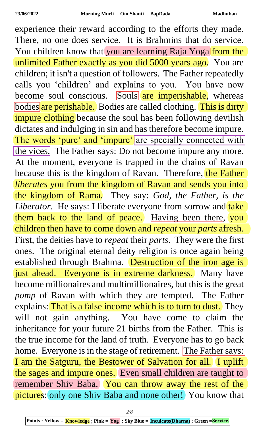experience their reward according to the efforts they made. There, no one does service. It is Brahmins that do service. You children know that you are learning Raja Yoga from the unlimited Father exactly as you did 5000 years ago. You are children; it isn't a question of followers. The Father repeatedly calls you 'children' and explains to you. You have now become soul conscious. Souls are imperishable, whereas bodies are perishable. Bodies are called clothing. This is dirty impure clothing because the soul has been following devilish dictates and indulging in sin and has therefore become impure. The words 'pure' and 'impure' are specially connected with the vices. The Father says: Do not become impure any more. At the moment, everyone is trapped in the chains of Ravan because this is the kingdom of Ravan. Therefore, the Father *liberates* you from the kingdom of Ravan and sends you into the kingdom of Rama. They say: *God, the Father, is the*  Liberator. He says: I liberate everyone from sorrow and take them back to the land of peace. Having been there, you children then have to come down and *repeat* your *parts* afresh. First, the deities have to *repeat* their *parts*. They were the first ones. The original eternal deity religion is once again being established through Brahma. Destruction of the iron age is just ahead. Everyone is in extreme darkness. Many have become millionaires and multimillionaires, but this is the great *pomp* of Ravan with which they are tempted. The Father explains: That is a false income which is to turn to dust. They will not gain anything. You have come to claim the inheritance for your future 21 births from the Father. This is the true income for the land of truth. Everyone has to go back home. Everyone is in the stage of retirement. The Father says: I am the Satguru, the Bestower of Salvation for all. I uplift the sages and impure ones. Even small children are taught to remember Shiv Baba. You can throw away the rest of the pictures: only one Shiv Baba and none other! You know that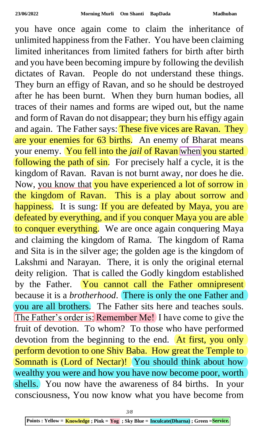you have once again come to claim the inheritance of unlimited happiness from the Father. You have been claiming limited inheritances from limited fathers for birth after birth and you have been becoming impure by following the devilish dictates of Ravan. People do not understand these things. They burn an effigy of Ravan, and so he should be destroyed after he has been burnt. When they burn human bodies, all traces of their names and forms are wiped out, but the name and form of Ravan do not disappear; they burn his effigy again and again. The Father says: These five vices are Ravan. They are your enemies for 63 births. An enemy of Bharat means your enemy. You fell into the *jail* of Ravan when you started following the path of sin. For precisely half a cycle, it is the kingdom of Ravan. Ravan is not burnt away, nor does he die. Now, you know that you have experienced a lot of sorrow in the kingdom of Ravan. This is a play about sorrow and happiness. It is sung: If you are defeated by Maya, you are defeated by everything, and if you conquer Maya you are able to conquer everything. We are once again conquering Maya and claiming the kingdom of Rama. The kingdom of Rama and Sita is in the silver age; the golden age is the kingdom of Lakshmi and Narayan. There, it is only the original eternal deity religion. That is called the Godly kingdom established by the Father. You cannot call the Father omnipresent because it is a *brotherhood*. There is only the one Father and you are all brothers. The Father sits here and teaches souls. The Father's order is: Remember Me! I have come to give the fruit of devotion. To whom? To those who have performed devotion from the beginning to the end. At first, you only perform devotion to one Shiv Baba. How great the Temple to Somnath is (Lord of Nectar)! You should think about how wealthy you were and how you have now become poor, worth shells. You now have the awareness of 84 births. In your consciousness, You now know what you have become from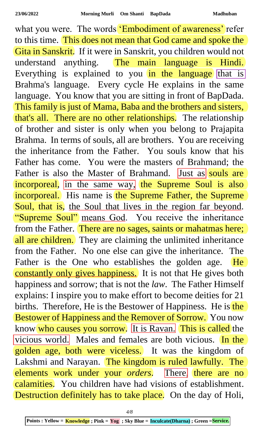what you were. The words 'Embodiment of awareness' refer to this time. This does not mean that God came and spoke the Gita in Sanskrit. If it were in Sanskrit, you children would not understand anything. The main language is Hindi. Everything is explained to you in the language that is Brahma's language. Every cycle He explains in the same language. You know that you are sitting in front of BapDada. This family is just of Mama, Baba and the brothers and sisters, that's all. There are no other relationships. The relationship of brother and sister is only when you belong to Prajapita Brahma. In terms of souls, all are brothers. You are receiving the inheritance from the Father. You souls know that his Father has come. You were the masters of Brahmand; the Father is also the Master of Brahmand. Just as souls are incorporeal, in the same way, the Supreme Soul is also incorporeal. His name is the Supreme Father, the Supreme Soul, that is, the Soul that lives in the region far beyond. "Supreme Soul" means God. You receive the inheritance from the Father. There are no sages, saints or mahatmas here; all are children. They are claiming the unlimited inheritance from the Father. No one else can give the inheritance. The Father is the One who establishes the golden age. He constantly only gives happiness. It is not that He gives both happiness and sorrow; that is not the *law*. The Father Himself explains: I inspire you to make effort to become deities for 21 births. Therefore, He is the Bestower of Happiness. He is the Bestower of Happiness and the Remover of Sorrow. You now know who causes you sorrow. It is Ravan. This is called the vicious world. Males and females are both vicious. In the golden age, both were viceless. It was the kingdom of Lakshmi and Narayan. The kingdom is ruled lawfully. The elements work under your *orders*. There, there are no calamities. You children have had visions of establishment. Destruction definitely has to take place. On the day of Holi,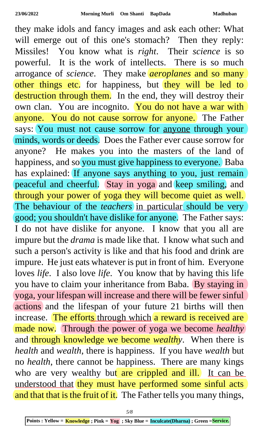they make idols and fancy images and ask each other: What will emerge out of this one's stomach? Then they reply: Missiles! You know what is *right*. Their *science* is so powerful. It is the work of intellects. There is so much arrogance of *science*. They make *aeroplanes* and so many other things etc. for happiness, but they will be led to destruction through them. In the end, they will destroy their own clan. You are incognito. You do not have a war with anyone. You do not cause sorrow for anyone. The Father says: You must not cause sorrow for **anyone** through your minds, words or deeds. Does the Father ever cause sorrow for anyone? He makes you into the masters of the land of happiness, and so you must give happiness to everyone. Baba has explained: If anyone says anything to you, just remain peaceful and cheerful. Stay in yoga and keep smiling, and through your power of yoga they will become quiet as well. The behaviour of the *teachers* in particular should be very good; you shouldn't have dislike for anyone. The Father says: I do not have dislike for anyone. I know that you all are impure but the *drama* is made like that. I know what such and such a person's activity is like and that his food and drink are impure. He just eats whatever is put in front of him. Everyone loves *life*. I also love *life*. You know that by having this life you have to claim your inheritance from Baba. By staying in yoga, your lifespan will increase and there will be fewer sinful actions and the lifespan of your future 21 births will then increase. The efforts through which a reward is received are made now. Through the power of yoga we become *healthy* and through knowledge we become *wealthy*. When there is *health* and *wealth*, there is happiness. If you have *wealth* but no *health*, there cannot be happiness. There are many kings who are very wealthy but are crippled and ill. It can be understood that they must have performed some sinful acts and that that is the fruit of it. The Father tells you many things,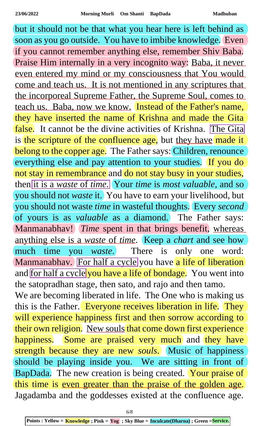but it should not be that what you hear here is left behind as soon as you go outside. You have to imbibe knowledge. Even if you cannot remember anything else, remember Shiv Baba. Praise Him internally in a very incognito way: Baba, it never even entered my mind or my consciousness that You would come and teach us. It is not mentioned in any scriptures that the incorporeal Supreme Father, the Supreme Soul, comes to teach us. Baba, now we know. Instead of the Father's name, they have inserted the name of Krishna and made the Gita false. It cannot be the divine activities of Krishna. The Gita is the scripture of the confluence age, but they have made it belong to the copper age. The Father says: Children, renounce everything else and pay attention to your studies. If you do not stay in remembrance and do not stay busy in your studies, then it is a *waste* of *time*. Your *time* is *most valuable*, and so you should not *waste* it. You have to earn your livelihood, but you should not waste *time* in wasteful thoughts. Every *second* of yours is as *valuable* as a diamond. The Father says: Manmanabhav! *Time* spent in that brings benefit, whereas anything else is a *waste* of *time*. Keep a *chart* and see how much time you *waste*. There is only one word: Manmanabhav. For half a cycle you have a life of liberation and for half a cycle you have a life of bondage. You went into the satopradhan stage, then sato, and rajo and then tamo. We are becoming liberated in life. The One who is making us this is the Father. Everyone receives liberation in life. They will experience happiness first and then sorrow according to their own religion. New souls that come down first experience happiness. Some are praised very much and they have strength because they are new *souls*. Music of happiness should be playing inside you. We are sitting in front of BapDada. The new creation is being created. Your praise of this time is <u>even greater than the praise of the golden age</u>. Jagadamba and the goddesses existed at the confluence age.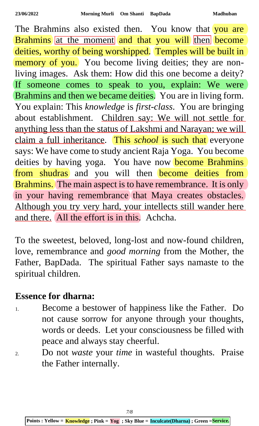The Brahmins also existed then. You know that you are Brahmins at the moment and that you will then become deities, worthy of being worshipped. Temples will be built in memory of you. You become living deities; they are nonliving images. Ask them: How did this one become a deity? If someone comes to speak to you, explain: We were Brahmins and then we became deities. You are in living form. You explain: This *knowledge* is *first-class*. You are bringing about establishment. Children say: We will not settle for anything less than the status of Lakshmi and Narayan; we will claim a full inheritance. This *school* is such that everyone says: We have come to study ancient Raja Yoga. You become deities by having yoga. You have now become Brahmins from shudras and you will then become deities from Brahmins. The main aspect is to have remembrance. It is only in your having remembrance that Maya creates obstacles. Although you try very hard, your intellects still wander here and there. All the effort is in this. Achcha.

To the sweetest, beloved, long-lost and now-found children, love, remembrance and *good morning* from the Mother, the Father, BapDada. The spiritual Father says namaste to the spiritual children.

## **Essence for dharna:**

- 1. Become a bestower of happiness like the Father. Do not cause sorrow for anyone through your thoughts, words or deeds. Let your consciousness be filled with peace and always stay cheerful.
- 2. Do not *waste* your *time* in wasteful thoughts. Praise the Father internally.